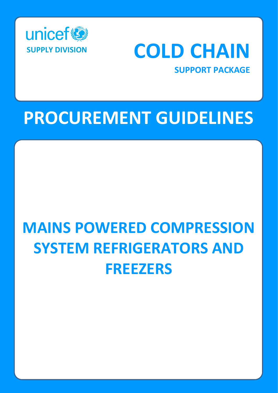



# **PROCUREMENT GUIDELINES**

# **MAINS POWERED COMPRESSION SYSTEM REFRIGERATORS AND FREEZERS**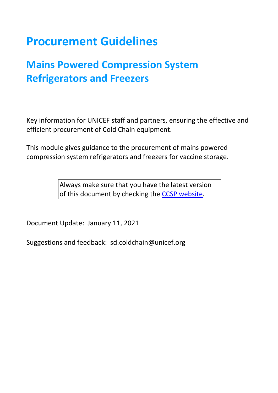# **Procurement Guidelines**

# **Mains Powered Compression System Refrigerators and Freezers**

Key information for UNICEF staff and partners, ensuring the effective and efficient procurement of Cold Chain equipment.

This module gives guidance to the procurement of mains powered compression system refrigerators and freezers for vaccine storage.

> Always make sure that you have the latest version of this document by checking the [CCSP website.](http://www.unicef.org/supply/index_68367.html)

Document Update: January 11, 2021

Suggestions and feedback: sd.coldchain@unicef.org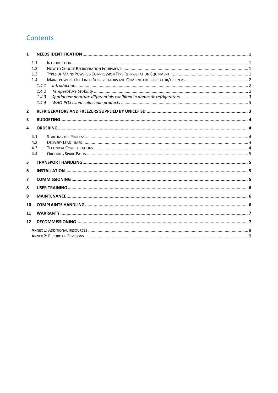# **Contents**

| $\mathbf{1}$   |       |  |  |  |  |
|----------------|-------|--|--|--|--|
|                | 1.1   |  |  |  |  |
|                | 1.2   |  |  |  |  |
|                | 1.3   |  |  |  |  |
|                | 1.4   |  |  |  |  |
|                | 1.4.1 |  |  |  |  |
|                | 1.4.2 |  |  |  |  |
|                | 1.4.3 |  |  |  |  |
|                | 1.4.4 |  |  |  |  |
| $\overline{2}$ |       |  |  |  |  |
|                |       |  |  |  |  |
| 3              |       |  |  |  |  |
| 4              |       |  |  |  |  |
|                |       |  |  |  |  |
|                | 4.1   |  |  |  |  |
|                | 4.2   |  |  |  |  |
|                | 4.3   |  |  |  |  |
|                | 4.4   |  |  |  |  |
| 5              |       |  |  |  |  |
| 6              |       |  |  |  |  |
| 7              |       |  |  |  |  |
| 8              |       |  |  |  |  |
|                |       |  |  |  |  |
| 9              |       |  |  |  |  |
| 10             |       |  |  |  |  |
| 11             |       |  |  |  |  |
| 12             |       |  |  |  |  |
|                |       |  |  |  |  |
|                |       |  |  |  |  |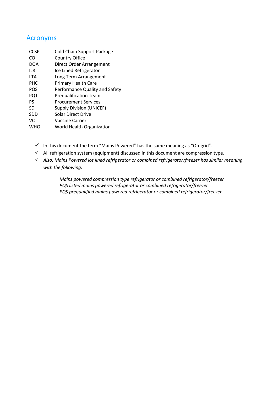# Acronyms

| <b>CCSP</b> | <b>Cold Chain Support Package</b> |
|-------------|-----------------------------------|
| CO          | <b>Country Office</b>             |
| <b>DOA</b>  | Direct Order Arrangement          |
| ilr         | Ice Lined Refrigerator            |
| <b>LTA</b>  | Long Term Arrangement             |
| <b>PHC</b>  | <b>Primary Health Care</b>        |
| PQS         | Performance Quality and Safety    |
| <b>PQT</b>  | <b>Pregualification Team</b>      |
| PS.         | <b>Procurement Services</b>       |
| SD          | <b>Supply Division (UNICEF)</b>   |
| <b>SDD</b>  | Solar Direct Drive                |
| VC          | Vaccine Carrier                   |
| WHO         | World Health Organization         |

- $\checkmark$  In this document the term "Mains Powered" has the same meaning as "On-grid".
- $\checkmark$  All refrigeration system (equipment) discussed in this document are compression type.
- ✓ *Also, Mains Powered ice lined refrigerator or combined refrigerator/freezer has similar meaning with the following:*

*Mains powered compression type refrigerator or combined refrigerator/freezer PQS listed mains powered refrigerator or combined refrigerator/freezer PQS prequalified mains powered refrigerator or combined refrigerator/freezer*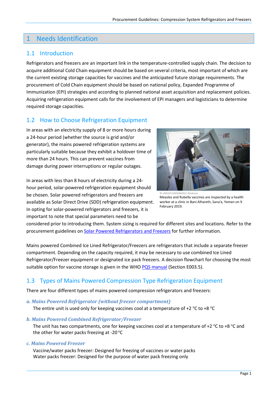# <span id="page-4-0"></span>1 Needs Identification

### <span id="page-4-1"></span>1.1 Introduction

Refrigerators and freezers are an important link in the temperature-controlled supply chain. The decision to acquire additional Cold Chain equipment should be based on several criteria, most important of which are the current existing storage capacities for vaccines and the anticipated future storage requirements. The procurement of Cold Chain equipment should be based on national policy, Expanded Programme of Immunization (EPI) strategies and according to planned national asset acquisition and replacement policies. Acquiring refrigeration equipment calls for the involvement of EPI managers and logisticians to determine required storage capacities.

# <span id="page-4-2"></span>1.2 How to Choose Refrigeration Equipment

In areas with an electricity supply of 8 or more hours during a 24-hour period (whether the source is grid and/or generator), the mains powered refrigeration systems are particularly suitable because they exhibit a holdover time of more than 24 hours. This can prevent vaccines from damage during power interruptions or regular outages.

In areas with less than 8 hours of electricity during a 24 hour period, solar-powered refrigeration equipment should be chosen. Solar powered refrigerators and freezers are available as Solar Direct Drive (SDD) refrigeration equipment. In opting for solar-powered refrigerators and freezers, it is important to note that special parameters need to be



© UNICEF/UN0284442/ Alaidroos Measles and Rubella vaccines are inspected by a health worker at a clinic in Bani Alhareth, Sana'a, Yemen on 9 February 2019.

considered prior to introducing them. System sizing is required for different sites and locations. Refer to the procurement guidelines on [Solar Powered Refrigerators](https://www.unicef.org/supply/documents/e003-solar-direct-drive-refrigerators-and-freezers) and Freezers for further information.

Mains powered Combined Ice Lined Refrigerator/Freezers are refrigerators that include a separate freezer compartment. Depending on the capacity required, it may be necessary to use combined Ice Lined Refrigerator/Freezer equipment or designated ice pack freezers. A decision flowchart for choosing the most suitable option for vaccine storage is given in the WHO [PQS manual](http://apps.who.int/immunization_standards/vaccine_quality/pqs_catalogue/index.aspx) (Section E003.5).

# <span id="page-4-3"></span>1.3 Types of Mains Powered Compression Type Refrigeration Equipment

There are four different types of mains powered compression refrigerators and freezers:

*a. Mains Powered Refrigerator (without freezer compartment)*

The entire unit is used only for keeping vaccines cool at a temperature of +2  $\degree$ C to +8  $\degree$ C

*b. Mains Powered Combined Refrigerator/Freezer*

The unit has two compartments, one for keeping vaccines cool at a temperature of +2  $\degree$ C to +8  $\degree$ C and the other for water packs freezing at -20 $\degree$ C

#### *c. Mains Powered Freezer*

Vaccine/water packs freezer: Designed for freezing of vaccines or water packs Water packs freezer: Designed for the purpose of water pack freezing only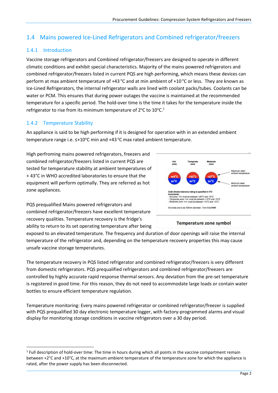# <span id="page-5-0"></span>1.4 Mains powered Ice-Lined Refrigerators and Combined refrigerator/freezers

#### <span id="page-5-1"></span>1.4.1 Introduction

Vaccine storage refrigerators and Combined refrigerator/freezers are designed to operate in different climatic conditions and exhibit special characteristics. Majority of the mains powered refrigerators and combined refrigerator/freezers listed in current PQS are high performing, which means these devices can perform at max ambient temperature of +43  $\degree$ C and at min ambient of +10  $\degree$ C or less. They are known as Ice-Lined Refrigerators, the internal refrigerator walls are lined with coolant packs/tubes. Coolants can be water or PCM. This ensures that during power outages the vaccine is maintained at the recommended temperature for a specific period. The hold-over time is the time it takes for the temperature inside the refrigerator to rise from its minimum temperature of  $2^{\circ}$ C to  $10^{\circ}$ C.<sup>1</sup>

#### <span id="page-5-2"></span>1.4.2 Temperature Stability

An appliance is said to be high performing if it is designed for operation with in an extended ambient temperature range i.e.  $\leq +10^{\circ}$ C min and +43 °C max rated ambient temperature.

High perfroming mains powered refrigerators, freezers and combined refrigerator/freezers listed in current PQS are tested for temperature stability at ambient temperatures of + 43°C in WHO accredited laboratories to ensure that the equipment will perform optimally. They are referred as hot zone appliances.

PQS prequalified Mains powered refrigerators and combined refrigerator/freezers have excellent temperature recovery qualities. Temperature recovery is the fridge's ability to return to its set operating temperature after being



#### Temperature zone symbol

exposed to an elevated temperature. The frequency and duration of door openings will raise the internal temperature of the refrigerator and, depending on the temperature recovery properties this may cause unsafe vaccine storage temperatures.

The temperature recovery in PQS listed refrigerator and combined refrigerator/freezers is very different from domestic refrigerators. PQS prequalified refrigerators and combined refrigerator/freezers are controlled by highly accurate rapid response thermal sensors. Any deviation from the pre-set temperature is registered in good time. For this reason, they do not need to accommodate large loads or contain water bottles to ensure efficient temperature regulation.

Temperature monitoring: Every mains powered refrigerator or combined refrigerator/freezer is supplied with PQS prequalified 30 day electronic temperature logger, with factory-programmed alarms and visual display for monitoring storage conditions in vaccine refrigerators over a 30 day period.

<sup>&</sup>lt;sup>1</sup> Full description of hold-over time: The time in hours during which all points in the vaccine compartment remain between +2°C and +10°C, at the maximum ambient temperature of the temperature zone for which the appliance is rated, after the power supply has been disconnected.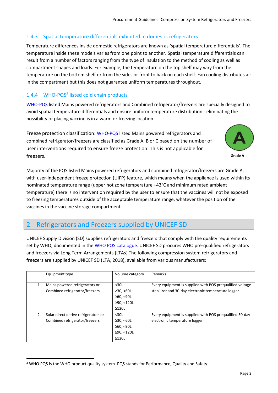#### <span id="page-6-0"></span>1.4.3 Spatial temperature differentials exhibited in domestic refrigerators

Temperature differences inside domestic refrigerators are known as 'spatial temperature differentials'. The temperature inside these models varies from one point to another. Spatial temperature differentials can result from a number of factors ranging from the type of insulation to the method of cooling as well as compartment shapes and loads. For example, the temperature on the top shelf may vary from the temperature on the bottom shelf or from the sides or front to back on each shelf. Fan cooling distributes air in the compartment but this does not guarantee uniform temperatures throughout.

#### <span id="page-6-1"></span>1.4.4 WHO-PQS<sup>2</sup> listed cold chain products

[WHO-PQS](http://apps.who.int/immunization_standards/vaccine_quality/pqs_catalogue/index.aspx) listed Mains powered refrigerators and Combined refrigerator/freezers are specially designed to avoid spatial temperature differentials and ensure uniform temperature distribution - eliminating the possibility of placing vaccine is in a warm or freezing location.

Freeze protection classification: [WHO-PQS](http://apps.who.int/immunization_standards/vaccine_quality/pqs_catalogue/index.aspx) listed Mains powered refrigerators and combined refrigerator/freezers are classified as Grade A, B or C based on the number of user interventions required to ensure freeze protection. This is not applicable for freezers.



Majority of the PQS listed Mains powered refrigerators and combined refrigerator/freezers are Grade A, with user-independent freeze protection (UIFP) feature, which means when the appliance is used within its nominated temperature range (upper hot zone temperature +43°C and minimum rated ambient temperature) there is no intervention required by the user to ensure that the vaccines will not be exposed to freezing temperatures outside of the acceptable temperature range, whatever the position of the vaccines in the vaccine storage compartment.

# <span id="page-6-2"></span>2 Refrigerators and Freezers supplied by UNICEF SD

UNICEF Supply Division (SD) supplies refrigerators and freezers that comply with the quality requirements set by WHO, documented in th[e WHO PQS catalogue.](http://apps.who.int/immunization_standards/vaccine_quality/pqs_catalogue/index.aspx) UNICEF SD procures WHO pre-qualified refrigerators and freezers via Long Term Arrangements (LTAs) The following compression system refrigerators and freezers are supplied by UNICEF SD (LTA, 2018), available from various manufacturers:

|    | Equipment type                                                         | Volume category                                               | Remarks                                                                                                          |
|----|------------------------------------------------------------------------|---------------------------------------------------------------|------------------------------------------------------------------------------------------------------------------|
| 1. | Mains powered refrigerators or<br>Combined refrigerator/freezers       | $30L$<br>≥30, <60L<br>≥60, < 90L<br>≥90, <120L<br>$\geq$ 120L | Every equipment is supplied with PQS prequalified voltage<br>stabilizer and 30-day electronic temperature logger |
| 2. | Solar direct derive refrigerators or<br>Combined refrigerator/freezers | $30L$<br>≥30, <60L<br>≥60, <90L<br>≥90, <120L<br>$\geq$ 120L  | Every equipment is supplied with PQS prequalified 30-day<br>electronic temperature logger                        |

<sup>&</sup>lt;sup>2</sup> WHO PQS is the WHO product quality system. PQS stands for Performance, Quality and Safety.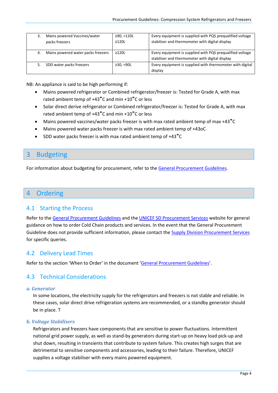|    | Mains powered Vaccines/water<br>packs freezers | ≥90, <120L<br>$\geq$ 120L | Every equipment is supplied with PQS prequalified voltage<br>stabilizer and thermometer with digital display |
|----|------------------------------------------------|---------------------------|--------------------------------------------------------------------------------------------------------------|
| 4. | Mains powered water packs freezers             | $\geq$ 120L               | Every equipment is supplied with PQS prequalified voltage<br>stabilizer and thermometer with digital display |
|    | SDD water packs freezers                       | ≥30, <90L                 | Every equipment is supplied with thermometer with digital<br>display                                         |

NB: An appliance is said to be high performing if:

- Mains powered refrigerator or Combined refrigerator/freezer is: Tested for Grade A, with max rated ambient temp of +43˚C and min +10˚C or less
- Solar direct derive refrigerator or Combined refrigerator/freezer is: Tested for Grade A, with max rated ambient temp of +43˚C and min +10˚C or less
- Mains powered vaccines/water packs freezer is with max rated ambient temp of max +43˚C
- Mains powered water packs freezer is with max rated ambient temp of +43oC
- SDD water packs freezer is with max rated ambient temp of +43˚C

# <span id="page-7-0"></span>3 Budgeting

For information about budgeting for procurement, refer to the [General Procurement Guidelines](https://www.unicef.org/supply/documents/general-procurement-guidelines-cold-chain-equipment).

#### <span id="page-7-1"></span>4 Ordering

#### <span id="page-7-2"></span>4.1 Starting the Process

Refer to th[e General Procurement Guidelines](https://www.unicef.org/supply/documents/general-procurement-guidelines-cold-chain-equipment) and the [UNICEF SD Procurement Services](http://www.unicef.org/supply/index_procurement_services.html) website for general guidance on how to order Cold Chain products and services. In the event that the General Procurement Guideline does not provide sufficient information, please contact the [Supply Division Procurement Services](http://www.unicef.org/supply/index_procurement_services.html) for specific queries.

#### <span id="page-7-3"></span>4.2 Delivery Lead Times

<span id="page-7-4"></span>Refer to the section 'When to Order' in the document '[General Procurement Guidelines](https://www.unicef.org/supply/documents/general-procurement-guidelines-cold-chain-equipment)'.

#### 4.3 Technical Considerations

#### *a. Generator*

In some locations, the electricity supply for the refrigerators and freezers is not stable and reliable. In these cases, solar direct drive refrigeration systems are recommended, or a standby generator should be in place. T

#### *b. Voltage Stabilisers*

Refrigerators and freezers have components that are sensitive to power fluctuations. Intermittent national grid power supply, as well as stand-by generators during start-up on heavy load pick-up and shut down, resulting in transients that contribute to system failure. This creates high surges that are detrimental to sensitive components and accessories, leading to their failure. Therefore, UNICEF supplies a voltage stabiliser with every mains powered equipment.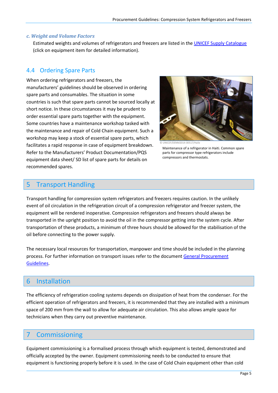#### *c. Weight and Volume Factors*

Estimated weights and volumes of refrigerators and freezers are listed in the [UNICEF Supply Catalogue](https://supply.unicef.org/all-materials/cold-chain-equipment.html) (click on equipment item for detailed information).

#### <span id="page-8-0"></span>4.4 Ordering Spare Parts

When ordering refrigerators and freezers, the manufacturers' guidelines should be observed in ordering spare parts and consumables. The situation in some countries is such that spare parts cannot be sourced locally at short notice. In these circumstances it may be prudent to order essential spare parts together with the equipment. Some countries have a maintenance workshop tasked with the maintenance and repair of Cold Chain equipment. Such a workshop may keep a stock of essential spare parts, which facilitates a rapid response in case of equipment breakdown. Refer to the Manufacturers' Product Documentation/PQS equipment data sheet/ SD list of spare parts for details on recommended spares.



EF/DENM2014-00517/Haile Maintenance of a refrigerator in Haiti. Common spare parts for compressor type refrigerators include compressors and thermostats.

# <span id="page-8-1"></span>5 Transport Handling

Transport handling for compression system refrigerators and freezers requires caution. In the unlikely event of oil circulation in the refrigeration circuit of a compression refrigerator and freezer system, the equipment will be rendered inoperative. Compression refrigerators and freezers should always be transported in the upright position to avoid the oil in the compressor getting into the system cycle. After transportation of these products, a minimum of three hours should be allowed for the stabilisation of the oil before connecting to the power supply.

The necessary local resources for transportation, manpower and time should be included in the planning process. For further information on transport issues refer to the document [General Procurement](https://www.unicef.org/supply/documents/general-procurement-guidelines-cold-chain-equipment)  [Guidelines](https://www.unicef.org/supply/documents/general-procurement-guidelines-cold-chain-equipment).

#### <span id="page-8-2"></span>6 Installation

The efficiency of refrigeration cooling systems depends on dissipation of heat from the condenser. For the efficient operation of refrigerators and freezers, it is recommended that they are installed with a minimum space of 200 mm from the wall to allow for adequate air circulation. This also allows ample space for technicians when they carry out preventive maintenance.

#### <span id="page-8-3"></span>**Commissioning**

Equipment commissioning is a formalised process through which equipment is tested, demonstrated and officially accepted by the owner. Equipment commissioning needs to be conducted to ensure that equipment is functioning properly before it is used. In the case of Cold Chain equipment other than cold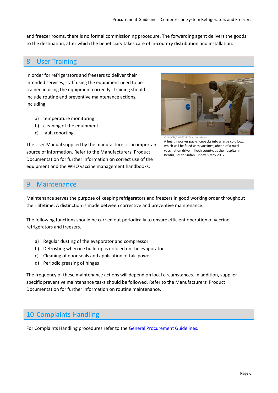and freezer rooms, there is no formal commissioning procedure. The forwarding agent delivers the goods to the destination, after which the beneficiary takes care of in-country distribution and installation.

# <span id="page-9-0"></span>8 User Training

In order for refrigerators and freezers to deliver their intended services, staff using the equipment need to be trained in using the equipment correctly. Training should include routine and preventive maintenance actions, including:

- a) temperature monitoring
- b) cleaning of the equipment
- c) fault reporting.

The User Manual supplied by the manufacturer is an important source of information. Refer to the Manufacturers' Product Documentation for further information on correct use of the equipment and the WHO vaccine management handbooks.



© UNICEF/UN070232/Hatcher-Moore A health worker packs icepacks into a large cold box, which will be filled with vaccines, ahead of a rural vaccination drive in Koch county, at the hospital in Bentiu, South Sudan, Friday 5 May 2017.

# <span id="page-9-1"></span>9 Maintenance

Maintenance serves the purpose of keeping refrigerators and freezers in good working order throughout their lifetime. A distinction is made between corrective and preventive maintenance.

The following functions should be carried out periodically to ensure efficient operation of vaccine refrigerators and freezers.

- a) Regular dusting of the evaporator and compressor
- b) Defrosting when ice build-up is noticed on the evaporator
- c) Cleaning of door seals and application of talc power
- d) Periodic greasing of hinges

The frequency of these maintenance actions will depend on local circumstances. In addition, supplier specific preventive maintenance tasks should be followed. Refer to the Manufacturers' Product Documentation for further information on routine maintenance.

# <span id="page-9-2"></span>10 Complaints Handling

For Complaints Handling procedures refer to the [General Procurement Guidelines](https://www.unicef.org/supply/documents/general-procurement-guidelines-cold-chain-equipment).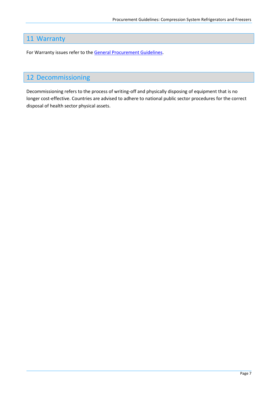# <span id="page-10-0"></span>11 Warranty

For Warranty issues refer to the [General Procurement Guidelines](https://www.unicef.org/supply/documents/general-procurement-guidelines-cold-chain-equipment).

# <span id="page-10-1"></span>12 Decommissioning

Decommissioning refers to the process of writing-off and physically disposing of equipment that is no longer cost-effective. Countries are advised to adhere to national public sector procedures for the correct disposal of health sector physical assets.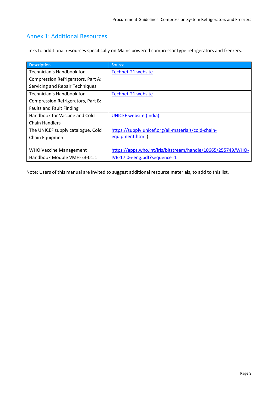# <span id="page-11-0"></span>Annex 1: Additional Resources

Links to additional resources specifically on Mains powered compressor type refrigerators and freezers.

| Description                        | <b>Source</b>                                                |
|------------------------------------|--------------------------------------------------------------|
| Technician's Handbook for          | Technet-21 website                                           |
| Compression Refrigerators, Part A: |                                                              |
| Servicing and Repair Techniques    |                                                              |
| Technician's Handbook for          | Technet-21 website                                           |
| Compression Refrigerators, Part B: |                                                              |
| <b>Faults and Fault Finding</b>    |                                                              |
| Handbook for Vaccine and Cold      | <b>UNICEF website (India)</b>                                |
| <b>Chain Handlers</b>              |                                                              |
| The UNICEF supply catalogue, Cold  | https://supply.unicef.org/all-materials/cold-chain-          |
| Chain Equipment                    | equipment.html                                               |
|                                    |                                                              |
| <b>WHO Vaccine Management</b>      | https://apps.who.int/iris/bitstream/handle/10665/255749/WHO- |
| Handbook Module VMH-E3-01.1        | IVB-17.06-eng.pdf?sequence=1                                 |

Note: Users of this manual are invited to suggest additional resource materials, to add to this list.